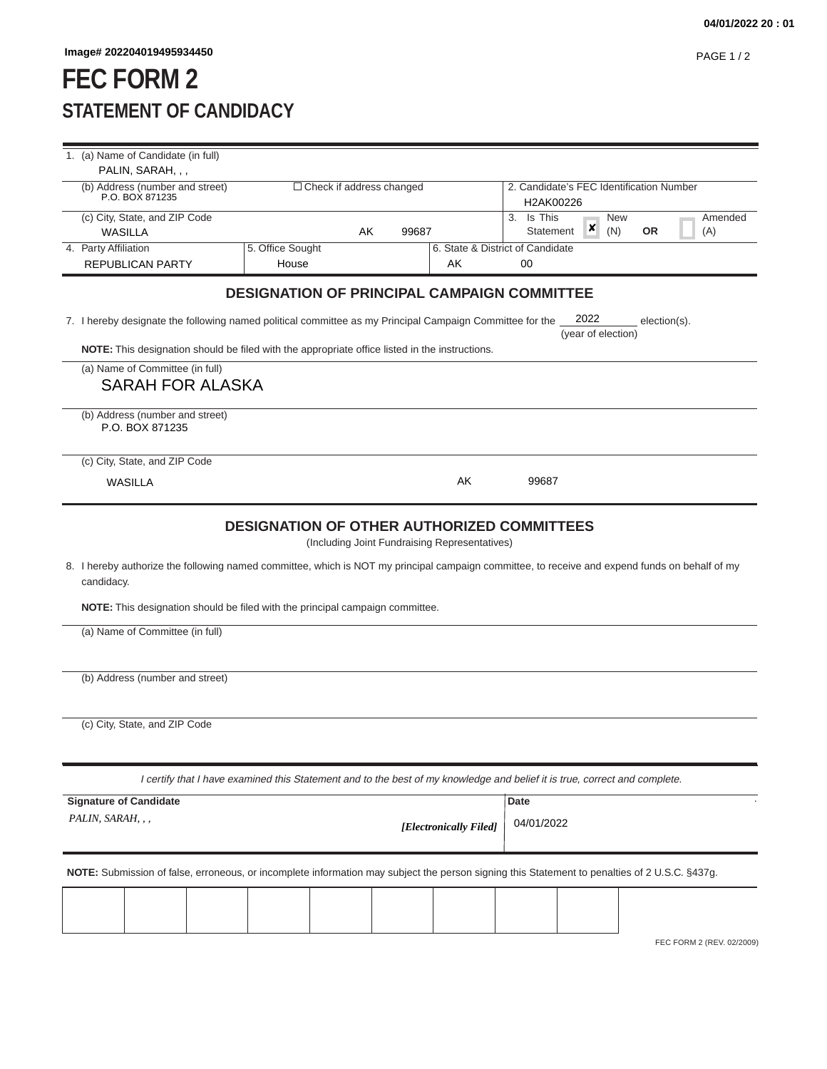## **FEC FORM 2 STATEMENT OF CANDIDACY**

| 1. (a) Name of Candidate (in full)                                                      |                                                                                                                                               |       |                        |                                                   |                             |  |
|-----------------------------------------------------------------------------------------|-----------------------------------------------------------------------------------------------------------------------------------------------|-------|------------------------|---------------------------------------------------|-----------------------------|--|
| PALIN, SARAH, , ,<br>(b) Address (number and street)<br>$\Box$ Check if address changed |                                                                                                                                               |       |                        | 2. Candidate's FEC Identification Number          |                             |  |
| P.O. BOX 871235                                                                         |                                                                                                                                               |       |                        | H2AK00226                                         |                             |  |
| (c) City, State, and ZIP Code                                                           |                                                                                                                                               | 99687 |                        | 3. Is This<br><b>New</b><br>×<br>(N)<br>Statement | Amended<br><b>OR</b><br>(A) |  |
| WASILLA<br>4. Party Affiliation                                                         | 5. Office Sought                                                                                                                              | AK    |                        | 6. State & District of Candidate                  |                             |  |
| <b>REPUBLICAN PARTY</b>                                                                 | House                                                                                                                                         |       | AK                     | 00                                                |                             |  |
|                                                                                         | <b>DESIGNATION OF PRINCIPAL CAMPAIGN COMMITTEE</b>                                                                                            |       |                        |                                                   |                             |  |
|                                                                                         | 7. I hereby designate the following named political committee as my Principal Campaign Committee for the                                      |       |                        | 2022<br>(year of election)                        | election(s).                |  |
|                                                                                         | <b>NOTE:</b> This designation should be filed with the appropriate office listed in the instructions.                                         |       |                        |                                                   |                             |  |
| (a) Name of Committee (in full)<br><b>SARAH FOR ALASKA</b>                              |                                                                                                                                               |       |                        |                                                   |                             |  |
| (b) Address (number and street)<br>P.O. BOX 871235                                      |                                                                                                                                               |       |                        |                                                   |                             |  |
| (c) City, State, and ZIP Code                                                           |                                                                                                                                               |       |                        |                                                   |                             |  |
| WASILLA                                                                                 |                                                                                                                                               |       | AK                     | 99687                                             |                             |  |
| candidacy.<br>(a) Name of Committee (in full)                                           | <b>NOTE:</b> This designation should be filed with the principal campaign committee.                                                          |       |                        |                                                   |                             |  |
| (b) Address (number and street)                                                         |                                                                                                                                               |       |                        |                                                   |                             |  |
| (c) City, State, and ZIP Code                                                           |                                                                                                                                               |       |                        |                                                   |                             |  |
|                                                                                         | I certify that I have examined this Statement and to the best of my knowledge and belief it is true, correct and complete.                    |       |                        |                                                   |                             |  |
| <b>Signature of Candidate</b>                                                           |                                                                                                                                               |       |                        | Date                                              |                             |  |
| PALIN, SARAH, , ,                                                                       |                                                                                                                                               |       | [Electronically Filed] | 04/01/2022                                        |                             |  |
|                                                                                         | NOTE: Submission of false, erroneous, or incomplete information may subject the person signing this Statement to penalties of 2 U.S.C. §437g. |       |                        |                                                   |                             |  |
|                                                                                         |                                                                                                                                               |       |                        |                                                   |                             |  |
|                                                                                         |                                                                                                                                               |       |                        |                                                   | FEC FORM 2 (REV. 02/2009)   |  |
|                                                                                         |                                                                                                                                               |       |                        |                                                   |                             |  |